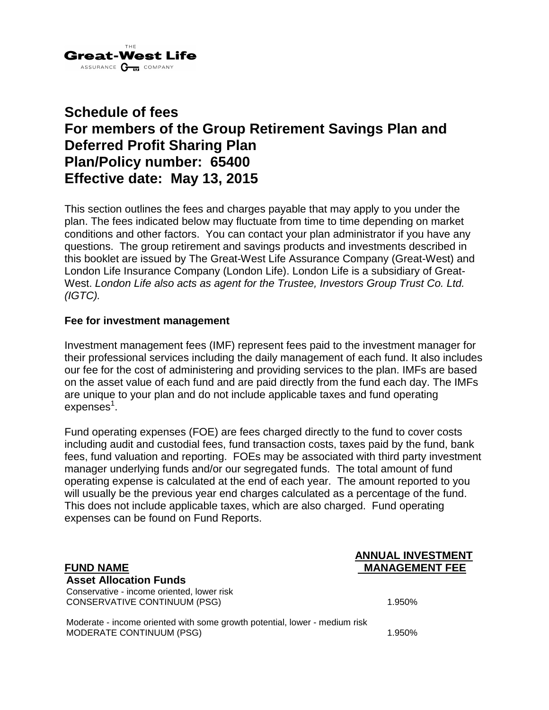

# **Schedule of fees For members of the Group Retirement Savings Plan and Deferred Profit Sharing Plan Plan/Policy number: 65400 Effective date: May 13, 2015**

This section outlines the fees and charges payable that may apply to you under the plan. The fees indicated below may fluctuate from time to time depending on market conditions and other factors. You can contact your plan administrator if you have any questions. The group retirement and savings products and investments described in this booklet are issued by The Great-West Life Assurance Company (Great-West) and London Life Insurance Company (London Life). London Life is a subsidiary of Great-West. *London Life also acts as agent for the Trustee, Investors Group Trust Co. Ltd. (IGTC).*

#### **Fee for investment management**

Investment management fees (IMF) represent fees paid to the investment manager for their professional services including the daily management of each fund. It also includes our fee for the cost of administering and providing services to the plan. IMFs are based on the asset value of each fund and are paid directly from the fund each day. The IMFs are unique to your plan and do not include applicable taxes and fund operating expenses $^{\rm 1}.$ 

Fund operating expenses (FOE) are fees charged directly to the fund to cover costs including audit and custodial fees, fund transaction costs, taxes paid by the fund, bank fees, fund valuation and reporting. FOEs may be associated with third party investment manager underlying funds and/or our segregated funds. The total amount of fund operating expense is calculated at the end of each year. The amount reported to you will usually be the previous year end charges calculated as a percentage of the fund. This does not include applicable taxes, which are also charged. Fund operating expenses can be found on Fund Reports.

#### **ANNUAL INVESTMENT FUND NAME MANAGEMENT FEE**

#### **Asset Allocation Funds** Conservative - income oriented, lower risk

CONSERVATIVE CONTINUUM (PSG) 1.950%

Moderate - income oriented with some growth potential, lower - medium risk MODERATE CONTINUUM (PSG) 1.950%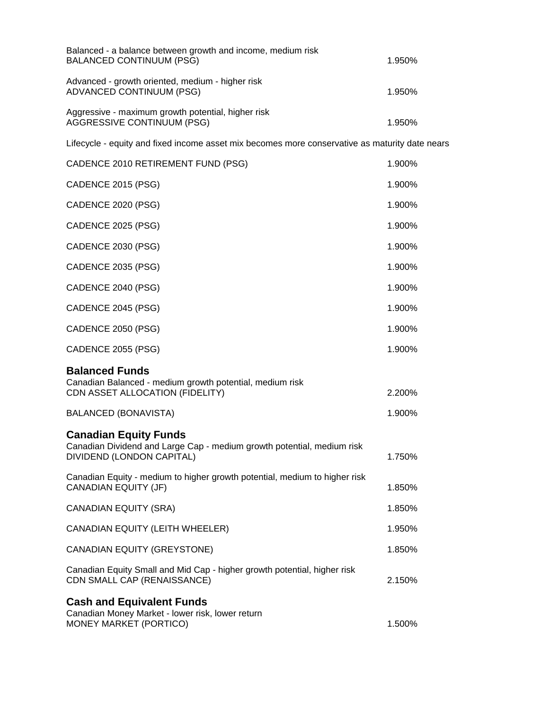| Balanced - a balance between growth and income, medium risk<br><b>BALANCED CONTINUUM (PSG)</b>                                      | 1.950% |
|-------------------------------------------------------------------------------------------------------------------------------------|--------|
| Advanced - growth oriented, medium - higher risk<br>ADVANCED CONTINUUM (PSG)                                                        | 1.950% |
| Aggressive - maximum growth potential, higher risk<br><b>AGGRESSIVE CONTINUUM (PSG)</b>                                             | 1.950% |
| Lifecycle - equity and fixed income asset mix becomes more conservative as maturity date nears                                      |        |
| CADENCE 2010 RETIREMENT FUND (PSG)                                                                                                  | 1.900% |
| CADENCE 2015 (PSG)                                                                                                                  | 1.900% |
| CADENCE 2020 (PSG)                                                                                                                  | 1.900% |
| CADENCE 2025 (PSG)                                                                                                                  | 1.900% |
| CADENCE 2030 (PSG)                                                                                                                  | 1.900% |
| CADENCE 2035 (PSG)                                                                                                                  | 1.900% |
| CADENCE 2040 (PSG)                                                                                                                  | 1.900% |
| CADENCE 2045 (PSG)                                                                                                                  | 1.900% |
| CADENCE 2050 (PSG)                                                                                                                  | 1.900% |
| CADENCE 2055 (PSG)                                                                                                                  | 1.900% |
| <b>Balanced Funds</b><br>Canadian Balanced - medium growth potential, medium risk<br>CDN ASSET ALLOCATION (FIDELITY)                | 2.200% |
| <b>BALANCED (BONAVISTA)</b>                                                                                                         | 1.900% |
| <b>Canadian Equity Funds</b><br>Canadian Dividend and Large Cap - medium growth potential, medium risk<br>DIVIDEND (LONDON CAPITAL) | 1.750% |
| Canadian Equity - medium to higher growth potential, medium to higher risk<br><b>CANADIAN EQUITY (JF)</b>                           | 1.850% |
| <b>CANADIAN EQUITY (SRA)</b>                                                                                                        | 1.850% |
| CANADIAN EQUITY (LEITH WHEELER)                                                                                                     | 1.950% |
| <b>CANADIAN EQUITY (GREYSTONE)</b>                                                                                                  | 1.850% |
| Canadian Equity Small and Mid Cap - higher growth potential, higher risk<br>CDN SMALL CAP (RENAISSANCE)                             | 2.150% |
| <b>Cash and Equivalent Funds</b><br>Canadian Money Market - lower risk, lower return<br>MONEY MARKET (PORTICO)                      | 1.500% |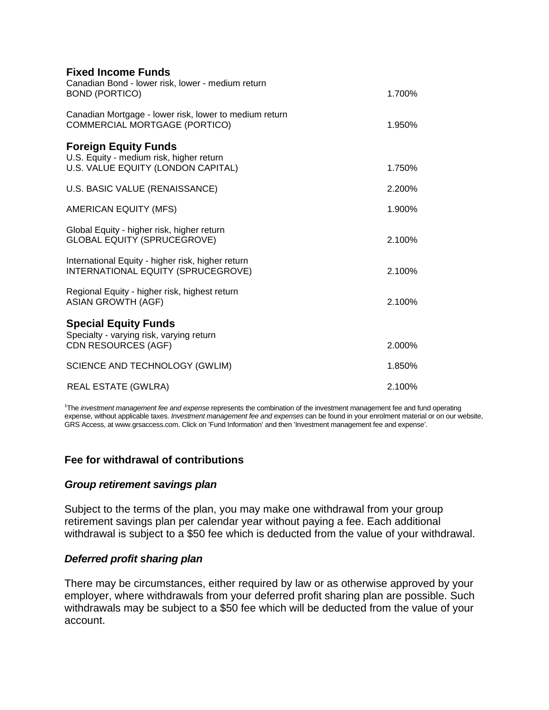| <b>Fixed Income Funds</b>                                                                                     |        |
|---------------------------------------------------------------------------------------------------------------|--------|
| Canadian Bond - lower risk, lower - medium return<br><b>BOND (PORTICO)</b>                                    | 1.700% |
| Canadian Mortgage - lower risk, lower to medium return<br>COMMERCIAL MORTGAGE (PORTICO)                       | 1.950% |
| <b>Foreign Equity Funds</b><br>U.S. Equity - medium risk, higher return<br>U.S. VALUE EQUITY (LONDON CAPITAL) | 1.750% |
| U.S. BASIC VALUE (RENAISSANCE)                                                                                | 2.200% |
| <b>AMERICAN EQUITY (MFS)</b>                                                                                  | 1.900% |
| Global Equity - higher risk, higher return<br><b>GLOBAL EQUITY (SPRUCEGROVE)</b>                              | 2.100% |
| International Equity - higher risk, higher return<br>INTERNATIONAL EQUITY (SPRUCEGROVE)                       | 2.100% |
| Regional Equity - higher risk, highest return<br><b>ASIAN GROWTH (AGF)</b>                                    | 2.100% |
| <b>Special Equity Funds</b>                                                                                   |        |
| Specialty - varying risk, varying return<br><b>CDN RESOURCES (AGF)</b>                                        | 2.000% |
| SCIENCE AND TECHNOLOGY (GWLIM)                                                                                | 1.850% |
| <b>REAL ESTATE (GWLRA)</b>                                                                                    | 2.100% |

1 The *investment management fee and expense* represents the combination of the investment management fee and fund operating expense, without applicable taxes. *Investment management fee and expenses* can be found in your enrolment material or on our website, GRS Access, at www.grsaccess.com. Click on 'Fund Information' and then 'Investment management fee and expense'.

## **Fee for withdrawal of contributions**

#### *Group retirement savings plan*

Subject to the terms of the plan, you may make one withdrawal from your group retirement savings plan per calendar year without paying a fee. Each additional withdrawal is subject to a \$50 fee which is deducted from the value of your withdrawal.

#### *Deferred profit sharing plan*

There may be circumstances, either required by law or as otherwise approved by your employer, where withdrawals from your deferred profit sharing plan are possible. Such withdrawals may be subject to a \$50 fee which will be deducted from the value of your account.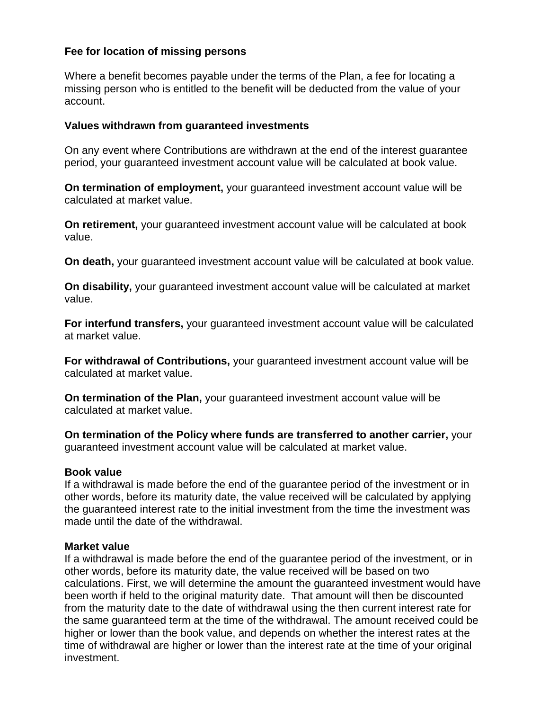# **Fee for location of missing persons**

Where a benefit becomes payable under the terms of the Plan, a fee for locating a missing person who is entitled to the benefit will be deducted from the value of your account.

### **Values withdrawn from guaranteed investments**

On any event where Contributions are withdrawn at the end of the interest guarantee period, your guaranteed investment account value will be calculated at book value.

**On termination of employment,** your guaranteed investment account value will be calculated at market value.

**On retirement,** your guaranteed investment account value will be calculated at book value.

**On death,** your guaranteed investment account value will be calculated at book value.

**On disability,** your guaranteed investment account value will be calculated at market value.

**For interfund transfers,** your guaranteed investment account value will be calculated at market value.

**For withdrawal of Contributions,** your guaranteed investment account value will be calculated at market value.

**On termination of the Plan,** your guaranteed investment account value will be calculated at market value.

**On termination of the Policy where funds are transferred to another carrier,** your guaranteed investment account value will be calculated at market value.

#### **Book value**

If a withdrawal is made before the end of the guarantee period of the investment or in other words, before its maturity date, the value received will be calculated by applying the guaranteed interest rate to the initial investment from the time the investment was made until the date of the withdrawal.

#### **Market value**

If a withdrawal is made before the end of the guarantee period of the investment, or in other words, before its maturity date, the value received will be based on two calculations. First, we will determine the amount the guaranteed investment would have been worth if held to the original maturity date. That amount will then be discounted from the maturity date to the date of withdrawal using the then current interest rate for the same guaranteed term at the time of the withdrawal. The amount received could be higher or lower than the book value, and depends on whether the interest rates at the time of withdrawal are higher or lower than the interest rate at the time of your original investment.